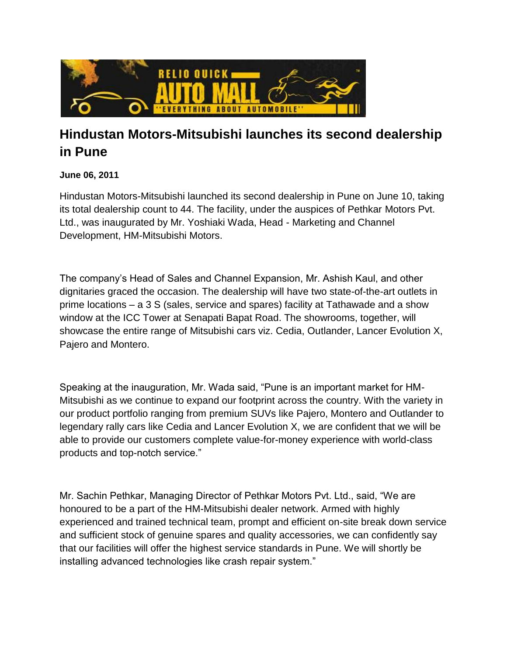

## **Hindustan Motors-Mitsubishi launches its second dealership in Pune**

## **June 06, 2011**

Hindustan Motors-Mitsubishi launched its second dealership in Pune on June 10, taking its total dealership count to 44. The facility, under the auspices of Pethkar Motors Pvt. Ltd., was inaugurated by Mr. Yoshiaki Wada, Head - Marketing and Channel Development, HM-Mitsubishi Motors.

The company's Head of Sales and Channel Expansion, Mr. Ashish Kaul, and other dignitaries graced the occasion. The dealership will have two state-of-the-art outlets in prime locations – a 3 S (sales, service and spares) facility at Tathawade and a show window at the ICC Tower at Senapati Bapat Road. The showrooms, together, will showcase the entire range of Mitsubishi cars viz. Cedia, Outlander, Lancer Evolution X, Pajero and Montero.

Speaking at the inauguration, Mr. Wada said, "Pune is an important market for HM-Mitsubishi as we continue to expand our footprint across the country. With the variety in our product portfolio ranging from premium SUVs like Pajero, Montero and Outlander to legendary rally cars like Cedia and Lancer Evolution X, we are confident that we will be able to provide our customers complete value-for-money experience with world-class products and top-notch service."

Mr. Sachin Pethkar, Managing Director of Pethkar Motors Pvt. Ltd., said, "We are honoured to be a part of the HM-Mitsubishi dealer network. Armed with highly experienced and trained technical team, prompt and efficient on-site break down service and sufficient stock of genuine spares and quality accessories, we can confidently say that our facilities will offer the highest service standards in Pune. We will shortly be installing advanced technologies like crash repair system."